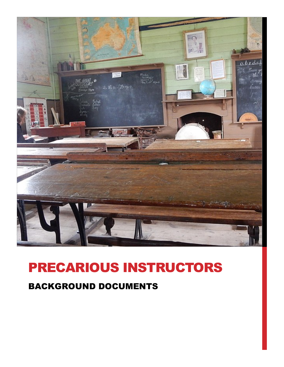

# PRECARIOUS INSTRUCTORS

### BACKGROUND DOCUMENTS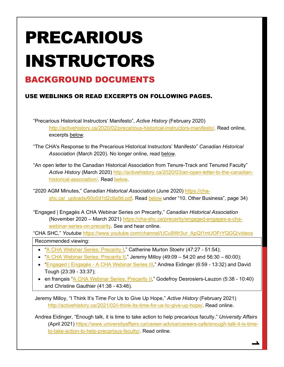# PRECARIOUS INSTRUCTORS

### BACKGROUND DOCUMENTS

### USE WEBLINKS OR READ EXCERPTS ON FOLLOWING PAGES.

"Precarious Historical Instructors' Manifesto", *Active History* (February 2020) http://activehistory.ca/2020/02/precarious-historical-instructors-manifesto/. Read online, excerpts below.

"The CHA's Response to the Precarious Historical Instructors' Manifesto" *Canadian Historical Association* (March 2020). No longer online, read below.

"An open letter to the Canadian Historical Association from Tenure-Track and Tenured Faculty" *Active History* (March 2020) http://activehistory.ca/2020/03/an-open-letter-to-the-canadianhistorical-association/. Read below.

"2020 AGM Minutes," *Canadian Historical Association* (June 2020) https://chashc.ca/ uploads/60c0d1d2c6a9d.pdf. Read below under "10. Other Business", page 34)

"Engaged | Engagés A CHA Webinar Series on Precarity," *Canadian Historical Association* (November 2020 – March 2021) https://cha-shc.ca/precarity/engaged-engages-a-chawebinar-series-on-precarity. See and hear online.

"CHA SHC," *Youtube* https://www.youtube.com/channel/UCu9Wr3ur\_ApQI1mUOFrYQGQ/videos

Recommended viewing:

- "A CHA Webinar Series: Precarity I," Catherine Murton Stoehr (47:27 51:54);
- "A CHA Webinar Series: Precarity II," Jeremy Milloy (49:09 54:20 and 56:30 60:00);
- "Engaged | Engagés A CHA Webinar Series III," Andrea Eidinger (6:59 13:32) and David Tough (23:39 - 33:37);
- en français "A CHA Webinar Series: Precarity II," Godefroy Desrosiers-Lauzon (5:38 10:40) and Christine Gauthier (41:38 - 43:46).

Jeremy Milloy, "I Think It's Time For Us to Give Up Hope," *Active History* (February 2021) http://activehistory.ca/2021/02/i-think-its-time-for-us-to-give-up-hope/. Read online.

Andrea Eidinger, "Enough talk, it is time to take action to help precarious faculty," *University Affairs* (April 2021) https://www.universityaffairs.ca/career-advice/careers-cafe/enough-talk-it-is-timeto-take-action-to-help-precarious-faculty/. Read online.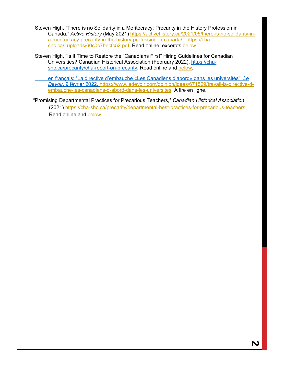Steven High, "There is no Solidarity in a Meritocracy: Precarity in the History Profession in Canada," *Active History* (May 2021) https://activehistory.ca/2021/05/there-is-no-solidarity-ina-meritocracy-precarity-in-the-history-profession-in-canada/; https://chashc.ca/\_uploads/60c0c7becfc52.pdf. Read online, excerpts below.

Steven High, "Is it Time to Restore the "Canadians First" Hiring Guidelines for Canadian Universities? Canadian Historical Association (February 2022), https://chashc.ca/precarity/cha-report-on-precarity. Read online and below.

en français: "La directive d'embauche «Les Canadiens d'abord» dans les universités", *Le Devoir*, 9 février 2022. https://www.ledevoir.com/opinion/idees/671529/travail-la-directive-dembauche-les-canadiens-d-abord-dans-les-universites. À lire en ligne.

"Promising Departmental Practices for Precarious Teachers," *Canadian Historical Association* (2021) https://cha-shc.ca/precarity/departmental-best-practices-for-precarious-teachers. Read online and below.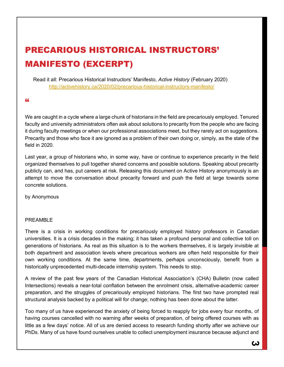### PRECARIOUS HISTORICAL INSTRUCTORS' MANIFESTO (EXCERPT)

Read it all: Precarious Historical Instructors' Manifesto, *Active History* (February 2020) http://activehistory.ca/2020/02/precarious-historical-instructors-manifesto/

#### "

We are caught in a cycle where a large chunk of historians in the field are precariously employed. Tenured faculty and university administrators often ask about solutions to precarity from the people who are facing it during faculty meetings or when our professional associations meet, but they rarely act on suggestions. Precarity and those who face it are ignored as a problem of their own doing or, simply, as the state of the field in 2020.

Last year, a group of historians who, in some way, have or continue to experience precarity in the field organized themselves to pull together shared concerns and possible solutions. Speaking about precarity publicly can, and has, put careers at risk. Releasing this document on Active History anonymously is an attempt to move the conversation about precarity forward and push the field at large towards some concrete solutions.

by Anonymous

#### PREAMBLE

There is a crisis in working conditions for precariously employed history professors in Canadian universities. It is a crisis decades in the making; it has taken a profound personal and collective toll on generations of historians. As real as this situation is to the workers themselves, it is largely invisible at both department and association levels where precarious workers are often held responsible for their own working conditions. At the same time, departments, perhaps unconsciously, benefit from a historically unprecedented multi-decade internship system. This needs to stop.

A review of the past few years of the Canadian Historical Association's (CHA) Bulletin (now called Intersections) reveals a near-total conflation between the enrolment crisis, alternative-academic career preparation, and the struggles of precariously employed historians. The first two have prompted real structural analysis backed by a political will for change; nothing has been done about the latter.

Too many of us have experienced the anxiety of being forced to reapply for jobs every four months, of having courses cancelled with no warning after weeks of preparation, of being offered courses with as little as a few days' notice. All of us are denied access to research funding shortly after we achieve our PhDs. Many of us have found ourselves unable to collect unemployment insurance because adjunct and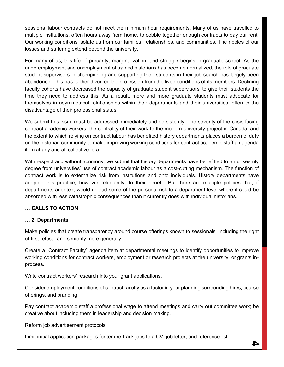sessional labour contracts do not meet the minimum hour requirements. Many of us have travelled to multiple institutions, often hours away from home, to cobble together enough contracts to pay our rent. Our working conditions isolate us from our families, relationships, and communities. The ripples of our losses and suffering extend beyond the university.

For many of us, this life of precarity, marginalization, and struggle begins in graduate school. As the underemployment and unemployment of trained historians has become normalized, the role of graduate student supervisors in championing and supporting their students in their job search has largely been abandoned. This has further divorced the profession from the lived conditions of its members. Declining faculty cohorts have decreased the capacity of graduate student supervisors' to give their students the time they need to address this. As a result, more and more graduate students must advocate for themselves in asymmetrical relationships within their departments and their universities, often to the disadvantage of their professional status.

We submit this issue must be addressed immediately and persistently. The severity of the crisis facing contract academic workers, the centrality of their work to the modern university project in Canada, and the extent to which relying on contract labour has benefited history departments places a burden of duty on the historian community to make improving working conditions for contract academic staff an agenda item at any and all collective fora.

With respect and without acrimony, we submit that history departments have benefitted to an unseemly degree from universities' use of contract academic labour as a cost-cutting mechanism. The function of contract work is to externalize risk from institutions and onto individuals. History departments have adopted this practice, however reluctantly, to their benefit. But there are multiple policies that, if departments adopted, would upload some of the personal risk to a department level where it could be absorbed with less catastrophic consequences than it currently does with individual historians.

### … **CALLS TO ACTION**

### … **2. Departments**

Make policies that create transparency around course offerings known to sessionals, including the right of first refusal and seniority more generally.

Create a "Contract Faculty" agenda item at departmental meetings to identify opportunities to improve working conditions for contract workers, employment or research projects at the university, or grants inprocess.

Write contract workers' research into your grant applications.

Consider employment conditions of contract faculty as a factor in your planning surrounding hires, course offerings, and branding.

Pay contract academic staff a professional wage to attend meetings and carry out committee work; be creative about including them in leadership and decision making.

Reform job advertisement protocols.

Limit initial application packages for tenure-track jobs to a CV, job letter, and reference list.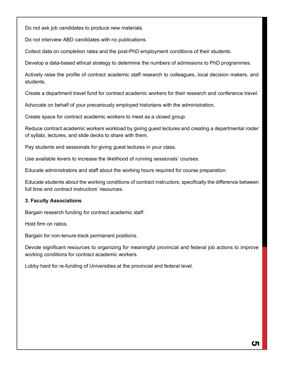Do not ask job candidates to produce new materials.

Do not interview ABD candidates with no publications.

Collect data on completion rates and the post-PhD employment conditions of their students.

Develop a data-based ethical strategy to determine the numbers of admissions to PhD programmes.

Actively raise the profile of contract academic staff research to colleagues, local decision makers, and students.

Create a department travel fund for contract academic workers for their research and conference travel.

Advocate on behalf of your precariously employed historians with the administration.

Create space for contract academic workers to meet as a closed group.

Reduce contract academic workers workload by giving guest lectures and creating a departmental roster of syllabi, lectures, and slide decks to share with them.

Pay students and sessionals for giving guest lectures in your class.

Use available levers to increase the likelihood of running sessionals' courses.

Educate administrators and staff about the working hours required for course preparation.

Educate students about the working conditions of contract instructors, specifically the difference between full time and contract instructors' resources.

#### **3. Faculty Associations**

Bargain research funding for contract academic staff.

Hold firm on ratios.

Bargain for non-tenure-track permanent positions.

Devote significant resources to organizing for meaningful provincial and federal job actions to improve working conditions for contract academic workers.

Lobby hard for re-funding of Universities at the provincial and federal level.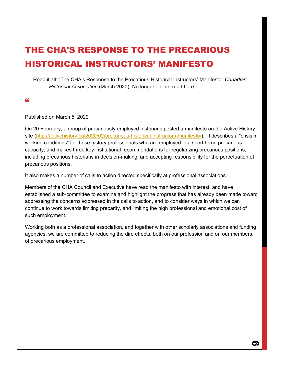### THE CHA'S RESPONSE TO THE PRECARIOUS HISTORICAL INSTRUCTORS' MANIFESTO

Read it all: "The CHA's Response to the Precarious Historical Instructors' Manifesto" *Canadian Historical Association* (March 2020). No longer online, read here.

#### "

Published on March 5, 2020

On 20 February, a group of precariously employed historians posted a manifesto on the Active History site (http://activehistory.ca/2020/02/precarious-historical-instructors-manifesto/). It describes a "crisis in working conditions" for those history professionals who are employed in a short-term, precarious capacity, and makes three key institutional recommendations for regularizing precarious positions, including precarious historians in decision-making, and accepting responsibility for the perpetuation of precarious positions.

It also makes a number of calls to action directed specifically at professional associations.

Members of the CHA Council and Executive have read the manifesto with interest, and have established a sub-committee to examine and highlight the progress that has already been made toward addressing the concerns expressed in the calls to action, and to consider ways in which we can continue to work towards limiting precarity, and limiting the high professional and emotional cost of such employment.

Working both as a professional association, and together with other scholarly associations and funding agencies, we are committed to reducing the dire effects, both on our profession and on our members, of precarious employment.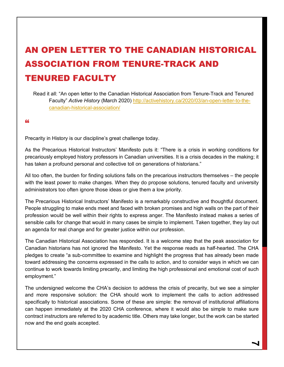## AN OPEN LETTER TO THE CANADIAN HISTORICAL ASSOCIATION FROM TENURE-TRACK AND TENURED FACULTY

Read it all: "An open letter to the Canadian Historical Association from Tenure-Track and Tenured Faculty" *Active History* (March 2020) http://activehistory.ca/2020/03/an-open-letter-to-thecanadian-historical-association/

"

Precarity in History is our discipline's great challenge today.

As the Precarious Historical Instructors' Manifesto puts it: "There is a crisis in working conditions for precariously employed history professors in Canadian universities. It is a crisis decades in the making; it has taken a profound personal and collective toll on generations of historians."

All too often, the burden for finding solutions falls on the precarious instructors themselves – the people with the least power to make changes. When they do propose solutions, tenured faculty and university administrators too often ignore those ideas or give them a low priority.

The Precarious Historical Instructors' Manifesto is a remarkably constructive and thoughtful document. People struggling to make ends meet and faced with broken promises and high walls on the part of their profession would be well within their rights to express anger. The Manifesto instead makes a series of sensible calls for change that would in many cases be simple to implement. Taken together, they lay out an agenda for real change and for greater justice within our profession.

The Canadian Historical Association has responded. It is a welcome step that the peak association for Canadian historians has not ignored the Manifesto. Yet the response reads as half-hearted. The CHA pledges to create "a sub-committee to examine and highlight the progress that has already been made toward addressing the concerns expressed in the calls to action, and to consider ways in which we can continue to work towards limiting precarity, and limiting the high professional and emotional cost of such employment."

The undersigned welcome the CHA's decision to address the crisis of precarity, but we see a simpler and more responsive solution: the CHA should work to implement the calls to action addressed specifically to historical associations. Some of these are simple: the removal of institutional affiliations can happen immediately at the 2020 CHA conference, where it would also be simple to make sure contract instructors are referred to by academic title. Others may take longer, but the work can be started now and the end goals accepted.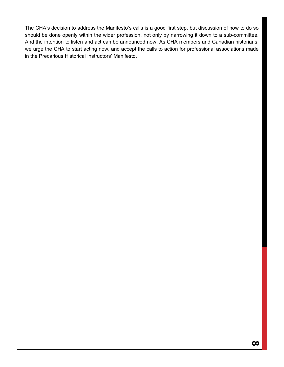The CHA's decision to address the Manifesto's calls is a good first step, but discussion of how to do so should be done openly within the wider profession, not only by narrowing it down to a sub-committee. And the intention to listen and act can be announced now. As CHA members and Canadian historians, we urge the CHA to start acting now, and accept the calls to action for professional associations made in the Precarious Historical Instructors' Manifesto.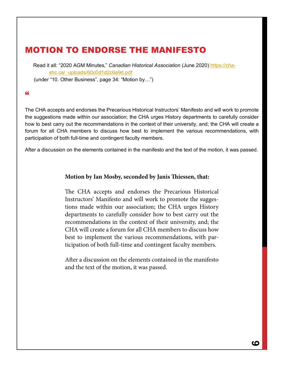### MOTION TO ENDORSE THE MANIFESTO

Read it all: "2020 AGM Minutes," *Canadian Historical Association* (June 2020) https://chashc.ca/\_uploads/60c0d1d2c6a9d.pdf

CHA Annual Activities Activités annuelles de la SHC

(under "10. Other Business", page 34: "Motion by...")

### "

The CHA accepts and endorses the Precarious Historical Instructors' Manifesto and will work to promote the suggestions made within our association; the CHA urges History departments to carefully consider how to best carry out the recommendations in the context of their university, and; the CHA will create a forum for all CHA members to discuss how best to implement the various recommendations, with participation of both full-time and contingent faculty members. Shannon Stunden Bower

After a discussion on the elements contained in the manifesto and the text of the motion, it was passed. **Représentante des étudiants diplômés**

### **Motion by Ian Mosby, seconded by Janis !iessen, that:**

The CHA accepts and endorses the Precarious Historical Instructors' Manifesto and will work to promote the suggestions made within our association; the CHA urges History departments to carefully consider how to best carry out the recommendations in the context of their university, and; the CHA will create a forum for all CHA members to discuss how best to implement the various recommendations, with participation of both full-time and contingent faculty members.

After a discussion on the elements contained in the manifesto and the text of the motion, it was passed.

vée à 14h17.

**12. Levée de la réunion**

Jo McCutcheon – Trésorière

**Conseil d'Administration**

Lisa Chilton

Karine Duhamel

Letitia Johnson

**10. Autres sujets**

Matt Bellamy – Secrétaire de langue anglaise

Marie-Michèle Doucet – Secrétaire de langue française

**Ian Mosby propose, avec l'appui de Janis !iessen, que :**

fesseurs à temps plein et de professeurs auxiliaires.

le texte de la motion, celle-ci a été adoptée.

La SHC accepte et approuve le Manifeste des enseignants d'histoire en situation précaire et s'e#orcera de promouvoir les suggestions du manifeste au sein de notre association ; la SHC exhorte les départements d'histoire à examiner soigneusement la meilleure façon de mettre en œuvre ces recommandations dans le contexte de leur université, et ; la SHC créera un forum pour que tous les membres de la SHC puissent discuter de la meilleure façon de mettre en œuvre ces diverses recommandations, avec la participation de pro-

Après une discussion sur les éléments contenus dans le manifeste et

Motion de Nancy Janovicek, appuyée par Kevin Brushett, approu-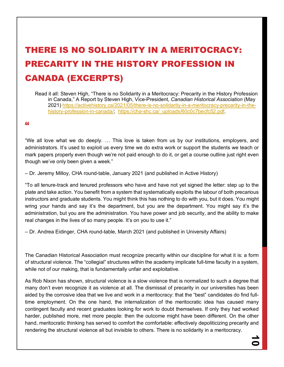# THERE IS NO SOLIDARITY IN A MERITOCRACY: PRECARITY IN THE HISTORY PROFESSION IN CANADA (EXCERPTS)

Read it all: Steven High, "There is no Solidarity in a Meritocracy: Precarity in the History Profession in Canada," A Report by Steven High, Vice-President, *Canadian Historical Association* (May 2021) https://activehistory.ca/2021/05/there-is-no-solidarity-in-a-meritocracy-precarity-in-thehistory-profession-in-canada/; https://cha-shc.ca/\_uploads/60c0c7becfc52.pdf.

#### "

"We all love what we do deeply. … This love is taken from us by our institutions, employers, and administrators. It's used to exploit us every time we do extra work or support the students we teach or mark papers properly even though we're not paid enough to do it, or get a course outline just right even though we've only been given a week."

– Dr. Jeremy Milloy, CHA round-table, January 2021 (and published in Active History)

"To all tenure-track and tenured professors who have and have not yet signed the letter: step up to the plate and take action. You benefit from a system that systematically exploits the labour of both precarious instructors and graduate students. You might think this has nothing to do with you, but it does. You might wring your hands and say it's the department, but you are the department. You might say it's the administration, but you are the administration. You have power and job security, and the ability to make real changes in the lives of so many people. It's on you to use it."

– Dr. Andrea Eidinger, CHA round-table, March 2021 (and published in University Affairs)

The Canadian Historical Association must recognize precarity within our discipline for what it is: a form of structural violence. The "collegial" structures within the academy implicate full-time faculty in a system, while not of our making, that is fundamentally unfair and exploitative.

As Rob Nixon has shown, structural violence is a slow violence that is normalized to such a degree that many don't even recognize it as violence at all. The dismissal of precarity in our universities has been aided by the corrosive idea that we live and work in a meritocracy: that the "best" candidates do find fulltime employment. On the one hand, the internalization of the meritocratic idea has caused many contingent faculty and recent graduates looking for work to doubt themselves. If only they had worked harder, published more, met more people: then the outcome might have been different. On the other hand, meritocratic thinking has served to comfort the comfortable: effectively depoliticizing precarity and rendering the structural violence all but invisible to others. There is no solidarity in a meritocracy.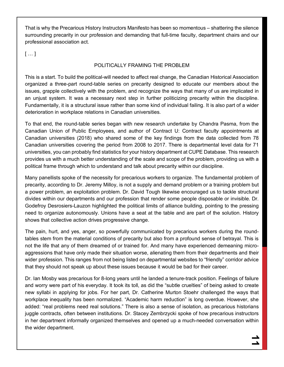That is why the Precarious History Instructors Manifesto has been so momentous – shattering the silence surrounding precarity in our profession and demanding that full-time faculty, department chairs and our professional association act.

 $[...]$ 

### POLITICALLY FRAMING THE PROBLEM

This is a start. To build the political-will needed to affect real change, the Canadian Historical Association organized a three-part round-table series on precarity designed to educate our members about the issues, grapple collectively with the problem, and recognize the ways that many of us are implicated in an unjust system. It was a necessary next step in further politicizing precarity within the discipline. Fundamentally, it is a structural issue rather than some kind of individual failing. It is also part of a wider deterioration in workplace relations in Canadian universities.

To that end, the round-table series began with new research undertake by Chandra Pasma, from the Canadian Union of Public Employees, and author of Contract U: Contract faculty appointments at Canadian universities (2018) who shared some of the key findings from the data collected from 78 Canadian universities covering the period from 2008 to 2017. There is departmental level data for 71 universities, you can probably find statistics for your history department at CUPE Database. This research provides us with a much better understanding of the scale and scope of the problem, providing us with a political frame through which to understand and talk about precarity within our discipline.

Many panellists spoke of the necessity for precarious workers to organize. The fundamental problem of precarity, according to Dr. Jeremy Milloy, is not a supply and demand problem or a training problem but a power problem, an exploitation problem. Dr. David Tough likewise encouraged us to tackle structural divides within our departments and our profession that render some people disposable or invisible. Dr. Godefroy Desrosiers-Lauzon highlighted the political limits of alliance building, pointing to the pressing need to organize autonomously. Unions have a seat at the table and are part of the solution. History shows that collective action drives progressive change.

The pain, hurt, and yes, anger, so powerfully communicated by precarious workers during the roundtables stem from the material conditions of precarity but also from a profound sense of betrayal. This is not the life that any of them dreamed of or trained for. And many have experienced demeaning microaggressions that have only made their situation worse, alienating them from their departments and their wider profession. This ranges from not being listed on departmental websites to "friendly" corridor advice that they should not speak up about these issues because it would be bad for their career.

Dr. Ian Mosby was precarious for 8-long years until he landed a tenure-track position. Feelings of failure and worry were part of his everyday. It took its toll, as did the "subtle cruelties" of being asked to create new syllabi in applying for jobs. For her part, Dr. Catherine Murton Stoehr challenged the ways that workplace inequality has been normalized. "Academic harm reduction" is long overdue. However, she added: "real problems need real solutions." There is also a sense of isolation, as precarious historians juggle contracts, often between institutions. Dr. Stacey Zembrzycki spoke of how precarious instructors in her department informally organized themselves and opened up a much-needed conversation within the wider department.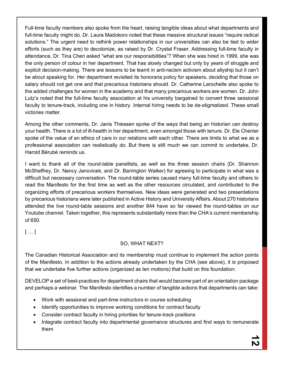Full-time faculty members also spoke from the heart, raising tangible ideas about what departments and full-time faculty might do. Dr. Laura Madokoro noted that these massive structural issues "require radical solutions." The urgent need to rethink power relationships in our universities can also be tied to wider efforts (such as they are) to decolonize, as raised by Dr. Crystal Fraser. Addressing full-time faculty in attendance, Dr. Tina Chen asked "what are our responsibilities"? When she was hired in 1999, she was the only person of colour in her department. That has slowly changed but only by years of struggle and explicit decision-making. There are lessons to be learnt in anti-racism activism about allyship but it can't be about speaking for. Her department revisited its honoraria policy for speakers, deciding that those on salary should not get one and that precarious historians should. Dr. Catherine Larochelle also spoke to the added challenges for women in the academy and that many precarious workers are women. Dr. John Lutz's noted that the full-time faculty association at his university bargained to convert three sessional faculty to tenure-track, including one in history. Internal hiring needs to be de-stigmatized. These small victories matter.

Among the other comments, Dr. Janis Thiessen spoke of the ways that being an historian can destroy your health. There is a lot of ill-health in her department, even amongst those with tenure. Dr. Ele Chenier spoke of the value of an ethics of care in our relations with each other. There are limits to what we as a professional association can realistically do. But there is still much we can commit to undertake, Dr. Harold Bérubé reminds us.

I want to thank all of the round-table panellists, as well as the three session chairs (Dr. Shannon McSheffrey, Dr. Nancy Janovicek, and Dr. Barrington Walker) for agreeing to participate in what was a difficult but necessary conversation. The round-table series caused many full-time faculty and others to read the Manifesto for the first time as well as the other resources circulated, and contributed to the organizing efforts of precarious workers themselves. New ideas were generated and two presentations by precarious historians were later published in Active History and University Affairs. About 270 historians attended the live round-table sessions and another 844 have so far viewed the round-tables on our Youtube channel. Taken together, this represents substantially more than the CHA's current membership of 650.

[ … ]

### SO, WHAT NEXT?

The Canadian Historical Association and its membership must continue to implement the action points of the Manifesto. In addition to the actions already undertaken by the CHA (see above), it is proposed that we undertake five further actions (organized as ten motions) that build on this foundation:

DEVELOP a set of best-practices for department chairs that would become part of an orientation package and perhaps a webinar. The Manifesto identifies a number of tangible actions that departments can take:

- Work with sessional and part-time instructors in course scheduling
- Identify opportunities to improve working conditions for contract faculty
- Consider contract faculty in hiring priorities for tenure-track positions
- Integrate contract faculty into departmental governance structures and find ways to remunerate them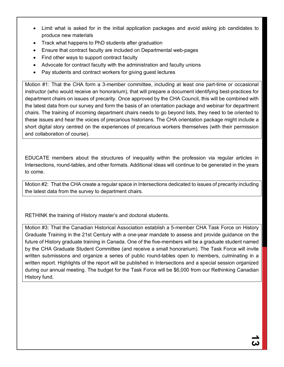- Limit what is asked for in the initial application packages and avoid asking job candidates to produce new materials
- Track what happens to PhD students after graduation
- Ensure that contract faculty are included on Departmental web-pages
- Find other ways to support contract faculty
- Advocate for contract faculty with the administration and faculty unions
- Pay students and contract workers for giving guest lectures

Motion #1: That the CHA form a 3-member committee, including at least one part-time or occasional instructor (who would receive an honorarium), that will prepare a document identifying best-practices for department chairs on issues of precarity. Once approved by the CHA Council, this will be combined with the latest data from our survey and form the basis of an orientation package and webinar for department chairs. The training of incoming department chairs needs to go beyond lists, they need to be oriented to these issues and hear the voices of precarious historians. The CHA orientation package might include a short digital story centred on the experiences of precarious workers themselves (with their permission and collaboration of course).

EDUCATE members about the structures of inequality within the profession via regular articles in Intersections, round-tables, and other formats. Additional ideas will continue to be generated in the years to come.

Motion #2: That the CHA create a regular space in Intersections dedicated to issues of precarity including the latest data from the survey to department chairs.

RETHINK the training of History master's and doctoral students.

Motion #3: That the Canadian Historical Association establish a 5-member CHA Task Force on History Graduate Training in the 21st Century with a one-year mandate to assess and provide guidance on the future of History graduate training in Canada. One of the five-members will be a graduate student named by the CHA Graduate Student Committee (and receive a small honorarium). The Task Force will invite written submissions and organize a series of public round-tables open to members, culminating in a written report. Highlights of the report will be published in Intersections and a special session organized during our annual meeting. The budget for the Task Force will be \$6,000 from our Rethinking Canadian History fund.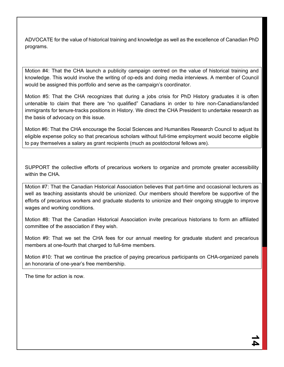ADVOCATE for the value of historical training and knowledge as well as the excellence of Canadian PhD programs.

Motion #4: That the CHA launch a publicity campaign centred on the value of historical training and knowledge. This would involve the writing of op-eds and doing media interviews. A member of Council would be assigned this portfolio and serve as the campaign's coordinator.

Motion #5: That the CHA recognizes that during a jobs crisis for PhD History graduates it is often untenable to claim that there are "no qualified" Canadians in order to hire non-Canadians/landed immigrants for tenure-tracks positions in History. We direct the CHA President to undertake research as the basis of advocacy on this issue.

Motion #6: That the CHA encourage the Social Sciences and Humanities Research Council to adjust its eligible expense policy so that precarious scholars without full-time employment would become eligible to pay themselves a salary as grant recipients (much as postdoctoral fellows are).

SUPPORT the collective efforts of precarious workers to organize and promote greater accessibility within the CHA

Motion #7: That the Canadian Historical Association believes that part-time and occasional lecturers as well as teaching assistants should be unionized. Our members should therefore be supportive of the efforts of precarious workers and graduate students to unionize and their ongoing struggle to improve wages and working conditions.

Motion #8: That the Canadian Historical Association invite precarious historians to form an affiliated committee of the association if they wish.

Motion #9: That we set the CHA fees for our annual meeting for graduate student and precarious members at one-fourth that charged to full-time members.

Motion #10: That we continue the practice of paying precarious participants on CHA-organized panels an honoraria of one-year's free membership.

The time for action is now.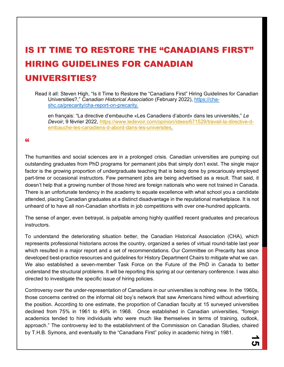## IS IT TIME TO RESTORE THE "CANADIANS FIRST" HIRING GUIDELINES FOR CANADIAN UNIVERSITIES?

Read it all: Steven High, "Is it Time to Restore the "Canadians First" Hiring Guidelines for Canadian Universities?," *Canadian Historical Association* (February 2022), https://chashc.ca/precarity/cha-report-on-precarity.

en français: "La directive d'embauche «Les Canadiens d'abord» dans les universités," *Le Devoir*, 9 février 2022, https://www.ledevoir.com/opinion/idees/671529/travail-la-directive-dembauche-les-canadiens-d-abord-dans-les-universites.

#### "

The humanities and social sciences are in a prolonged crisis. Canadian universities are pumping out outstanding graduates from PhD programs for permanent jobs that simply don't exist. The single major factor is the growing proportion of undergraduate teaching that is being done by precariously employed part-time or occasional instructors. Few permanent jobs are being advertised as a result. That said, it doesn't help that a growing number of those hired are foreign nationals who were not trained in Canada. There is an unfortunate tendency in the academy to equate excellence with what school you a candidate attended, placing Canadian graduates at a distinct disadvantage in the reputational marketplace. It is not unheard of to have all non-Canadian shortlists in job competitions with over one-hundred applicants.

The sense of anger, even betrayal, is palpable among highly qualified recent graduates and precarious instructors.

To understand the deteriorating situation better, the Canadian Historical Association (CHA), which represents professional historians across the country, organized a series of virtual round-table last year which resulted in a major report and a set of recommendations. Our Committee on Precarity has since developed best-practice resources and guidelines for History Department Chairs to mitigate what we can. We also established a seven-member Task Force on the Future of the PhD in Canada to better understand the structural problems. It will be reporting this spring at our centenary conference. I was also directed to investigate the specific issue of hiring policies.

Controversy over the under-representation of Canadians in our universities is nothing new. In the 1960s, those concerns centred on the informal old boy's network that saw Americans hired without advertising the position. According to one estimate, the proportion of Canadian faculty at 15 surveyed universities declined from 75% in 1961 to 49% in 1968. Once established in Canadian universities, "foreign academics tended to hire individuals who were much like themselves in terms of training, outlook, approach." The controversy led to the establishment of the Commission on Canadian Studies, chaired by T.H.B. Symons, and eventually to the "Canadians First" policy in academic hiring in 1981.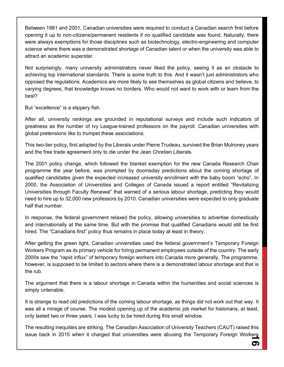Between 1981 and 2001, Canadian universities were required to conduct a Canadian search first before opening it up to non-citizens/permanent residents if no qualified candidate was found. Naturally, there were always exemptions for those disciplines such as biotechnology, electro-engineering and computer science where there was a demonstrated shortage of Canadian talent or when the university was able to attract an academic superstar.

Not surprisingly, many university administrators never liked the policy, seeing it as an obstacle to achieving top international standards. There is some truth to this. And it wasn't just administrators who opposed the regulations. Academics are more likely to see themselves as global citizens and believe, to varying degrees, that knowledge knows no borders. Who would not want to work with or learn from the best?

But "excellence" is a slippery fish.

After all, university rankings are grounded in reputational surveys and include such indicators of greatness as the number of Ivy League-trained professors on the payroll. Canadian universities with global pretensions like to trumpet these associations.

This two-tier policy, first adopted by the Liberals under Pierre Trudeau, survived the Brian Mulroney years and the free trade agreement only to die under the Jean Chretien Liberals.

The 2001 policy change, which followed the blanket exemption for the new Canada Research Chair programme the year before, was prompted by doomsday predictions about the coming shortage of qualified candidates given the expected increased university enrollment with the baby boom "echo". In 2000, the Association of Universities and Colleges of Canada issued a report entitled "Revitalizing Universities through Faculty Renewal" that warned of a serious labour shortage, predicting they would need to hire up to 32,000 new professors by 2010. Canadian universities were expected to only graduate half that number.

In response, the federal government relaxed the policy, allowing universities to advertise domestically and internationally at the same time. But with the promise that qualified Canadians would still be first hired. The "Canadians first" policy thus remains in place today at least in theory.

After getting the green light, Canadian universities used the federal government's Temporary Foreign Workers Program as its primary vehicle for hiring permanent employees outside of the country. The early 2000s saw the "rapid influx" of temporary foreign workers into Canada more generally. The programme, however, is supposed to be limited to sectors where there is a demonstrated labour shortage and that is the rub.

The argument that there is a labour shortage in Canada within the humanities and social sciences is simply untenable.

It is strange to read old predictions of the coming labour shortage, as things did not work out that way. It was all a mirage of course. The modest opening up of the academic job market for historians, at least, only lasted two or three years. I was lucky to be hired during this small window.

The resulting inequities are striking. The Canadian Association of University Teachers (CAUT) raised this issue back in 2015 when it charged that universities were abusing the Temporary Foreign Workers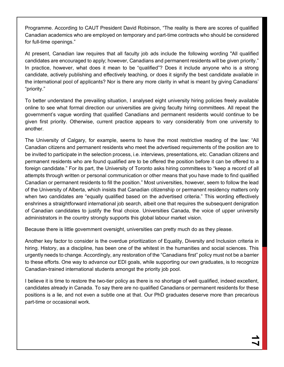Programme. According to CAUT President David Robinson, "The reality is there are scores of qualified Canadian academics who are employed on temporary and part-time contracts who should be considered for full-time openings."

At present, Canadian law requires that all faculty job ads include the following wording "All qualified candidates are encouraged to apply; however, Canadians and permanent residents will be given priority." In practice, however, what does it mean to be "qualified"? Does it include anyone who is a strong candidate, actively publishing and effectively teaching, or does it signify the best candidate available in the international pool of applicants? Nor is there any more clarity in what is meant by giving Canadians' "priority."

To better understand the prevailing situation, I analysed eight university hiring policies freely available online to see what formal direction our universities are giving faculty hiring committees. All repeat the government's vague wording that qualified Canadians and permanent residents would continue to be given first priority. Otherwise, current practice appears to vary considerably from one university to another.

The University of Calgary, for example, seems to have the most restrictive reading of the law: "All Canadian citizens and permanent residents who meet the advertised requirements of the position are to be invited to participate in the selection process, i.e. interviews, presentations, etc. Canadian citizens and permanent residents who are found qualified are to be offered the position before it can be offered to a foreign candidate." For its part, the University of Toronto asks hiring committees to "keep a record of all attempts through written or personal communication or other means that you have made to find qualified Canadian or permanent residents to fill the position." Most universities, however, seem to follow the lead of the University of Alberta, which insists that Canadian citizenship or permanent residency matters only when two candidates are "equally qualified based on the advertised criteria." This wording effectively enshrines a straightforward international job search, albeit one that requires the subsequent denigration of Canadian candidates to justify the final choice. Universities Canada, the voice of upper university administrators in the country strongly supports this global labour market vision.

Because there is little government oversight, universities can pretty much do as they please.

Another key factor to consider is the overdue prioritization of Equality, Diversity and Inclusion criteria in hiring. History, as a discipline, has been one of the whitest in the humanities and social sciences. This urgently needs to change. Accordingly, any restoration of the "Canadians first" policy must not be a barrier to these efforts. One way to advance our EDI goals, while supporting our own graduates, is to recognize Canadian-trained international students amongst the priority job pool.

I believe it is time to restore the two-tier policy as there is no shortage of well qualified, indeed excellent, candidates already in Canada. To say there are no qualified Canadians or permanent residents for these positions is a lie, and not even a subtle one at that. Our PhD graduates deserve more than precarious part-time or occasional work.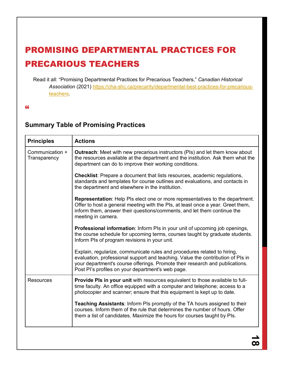### PROMISING DEPARTMENTAL PRACTICES FOR PRECARIOUS TEACHERS

Read it all: "Promising Departmental Practices for Precarious Teachers," *Canadian Historical Association* (2021) https://cha-shc.ca/precarity/departmental-best-practices-for-precariousteachers.

"

### **Summary Table of Promising Practices**

| <b>Principles</b>               | <b>Actions</b>                                                                                                                                                                                                                                                                                   |
|---------------------------------|--------------------------------------------------------------------------------------------------------------------------------------------------------------------------------------------------------------------------------------------------------------------------------------------------|
| Communication +<br>Transparency | <b>Outreach:</b> Meet with new precarious instructors (PIs) and let them know about<br>the resources available at the department and the institution. Ask them what the<br>department can do to improve their working conditions.                                                                |
|                                 | <b>Checklist:</b> Prepare a document that lists resources, academic regulations,<br>standards and templates for course outlines and evaluations, and contacts in<br>the department and elsewhere in the institution.                                                                             |
|                                 | <b>Representation:</b> Help PIs elect one or more representatives to the department.<br>Offer to host a general meeting with the PIs, at least once a year. Greet them,<br>inform them, answer their questions/comments, and let them continue the<br>meeting in camera.                         |
|                                 | <b>Professional information:</b> Inform PIs in your unit of upcoming job openings,<br>the course schedule for upcoming terms, courses taught by graduate students.<br>Inform PIs of program revisions in your unit.                                                                              |
|                                 | Explain, regularize, communicate rules and procedures related to hiring,<br>evaluation, professional support and teaching. Value the contribution of PIs in<br>your department's course offerings. Promote their research and publications.<br>Post PI's profiles on your department's web page. |
| Resources                       | Provide PIs in your unit with resources equivalent to those available to full-<br>time faculty. An office equipped with a computer and telephone; access to a<br>photocopier and scanner; ensure that this equipment is kept up to date.                                                         |
|                                 | Teaching Assistants: Inform PIs promptly of the TA hours assigned to their<br>courses. Inform them of the rule that determines the number of hours. Offer<br>them a list of candidates. Maximize the hours for courses taught by PIs.                                                            |
|                                 |                                                                                                                                                                                                                                                                                                  |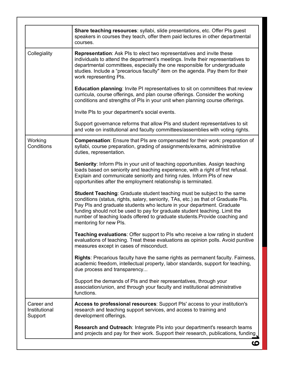|                                        | <b>Share teaching resources:</b> syllabi, slide presentations, etc. Offer PIs guest<br>speakers in courses they teach, offer them paid lectures in other departmental<br>courses.                                                                                                                                                                                                                                                     |
|----------------------------------------|---------------------------------------------------------------------------------------------------------------------------------------------------------------------------------------------------------------------------------------------------------------------------------------------------------------------------------------------------------------------------------------------------------------------------------------|
| Collegiality                           | Representation: Ask PIs to elect two representatives and invite these<br>individuals to attend the department's meetings. Invite their representatives to<br>departmental committees, especially the one responsible for undergraduate<br>studies. Include a "precarious faculty" item on the agenda. Pay them for their<br>work representing PIs.                                                                                    |
|                                        | <b>Education planning:</b> Invite PI representatives to sit on committees that review<br>curricula, course offerings, and plan course offerings. Consider the working<br>conditions and strengths of PIs in your unit when planning course offerings.                                                                                                                                                                                 |
|                                        | Invite PIs to your department's social events.                                                                                                                                                                                                                                                                                                                                                                                        |
|                                        | Support governance reforms that allow PIs and student representatives to sit<br>and vote on institutional and faculty committees/assemblies with voting rights.                                                                                                                                                                                                                                                                       |
| Working<br>Conditions                  | <b>Compensation:</b> Ensure that PIs are compensated for their work: preparation of<br>syllabi, course preparation, grading of assignments/exams, administrative<br>duties, representation.                                                                                                                                                                                                                                           |
|                                        | Seniority: Inform PIs in your unit of teaching opportunities. Assign teaching<br>loads based on seniority and teaching experience, with a right of first refusal.<br>Explain and communicate seniority and hiring rules. Inform PIs of new<br>opportunities after the employment relationship is terminated.                                                                                                                          |
|                                        | <b>Student Teaching:</b> Graduate student teaching must be subject to the same<br>conditions (status, rights, salary, seniority, TAs, etc.) as that of Graduate PIs.<br>Pay PIs and graduate students who lecture in your department. Graduate<br>funding should not be used to pay for graduate student teaching. Limit the<br>number of teaching loads offered to graduate students. Provide coaching and<br>mentoring for new PIs. |
|                                        | Teaching evaluations: Offer support to PIs who receive a low rating in student<br>evaluations of teaching. Treat these evaluations as opinion polls. Avoid punitive<br>measures except in cases of misconduct.                                                                                                                                                                                                                        |
|                                        | Rights: Precarious faculty have the same rights as permanent faculty. Fairness,<br>academic freedom, intellectual property, labor standards, support for teaching,<br>due process and transparency                                                                                                                                                                                                                                    |
|                                        | Support the demands of PIs and their representatives, through your<br>association/union, and through your faculty and institutional administrative<br>functions.                                                                                                                                                                                                                                                                      |
| Career and<br>Institutional<br>Support | Access to professional resources: Support PIs' access to your institution's<br>research and teaching support services, and access to training and<br>development offerings.                                                                                                                                                                                                                                                           |
|                                        | <b>Research and Outreach: Integrate PIs into your department's research teams</b><br>and projects and pay for their work. Support their research, publications, funding                                                                                                                                                                                                                                                               |
|                                        | ဖ                                                                                                                                                                                                                                                                                                                                                                                                                                     |